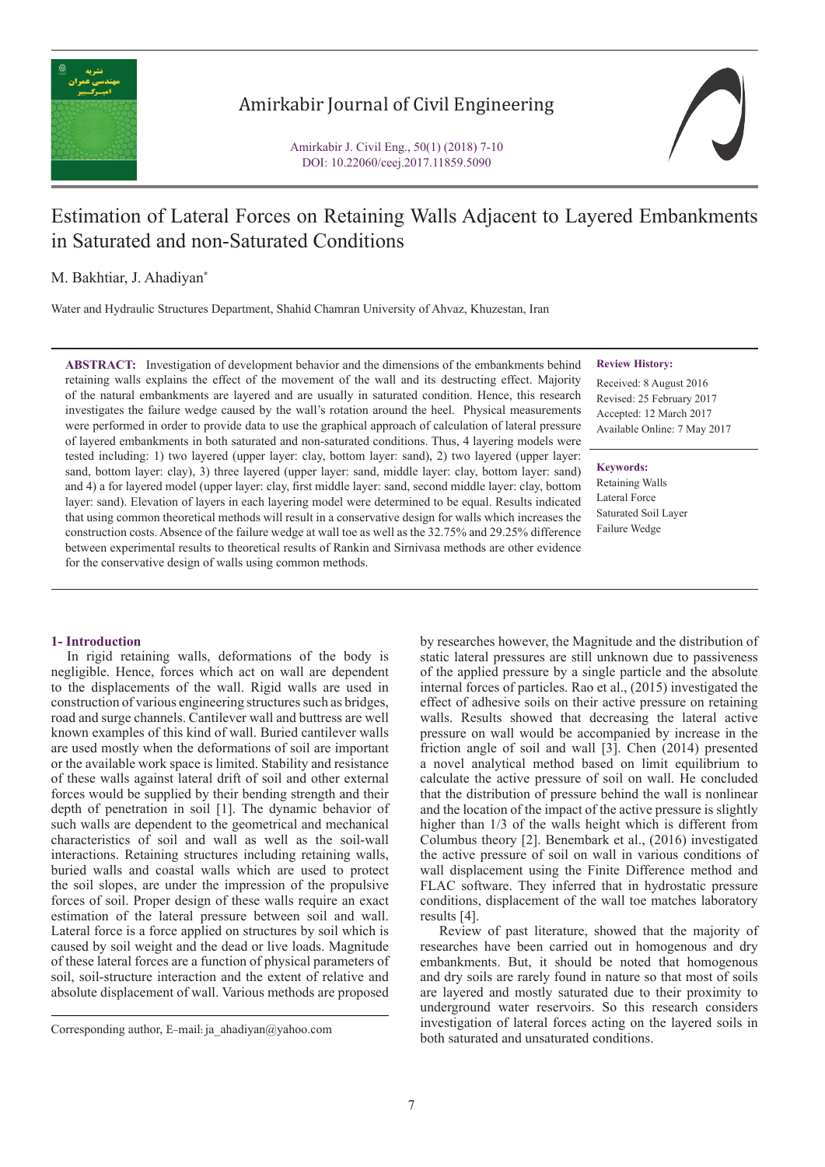

## Amirkabir Journal of Civil Engineering

Amirkabir J. Civil Eng., 50(1) (2018) 7-10 DOI: 10.22060/ceej.2017.11859.5090

# Estimation of Lateral Forces on Retaining Walls Adjacent to Layered Embankments in Saturated and non-Saturated Conditions

### M. Bakhtiar, J. Ahadiyan\*

Water and Hydraulic Structures Department, Shahid Chamran University of Ahvaz, Khuzestan, Iran

**ABSTRACT:** Investigation of development behavior and the dimensions of the embankments behind retaining walls explains the effect of the movement of the wall and its destructing effect. Majority of the natural embankments are layered and are usually in saturated condition. Hence, this research investigates the failure wedge caused by the wall's rotation around the heel. Physical measurements were performed in order to provide data to use the graphical approach of calculation of lateral pressure of layered embankments in both saturated and non-saturated conditions. Thus, 4 layering models were tested including: 1) two layered (upper layer: clay, bottom layer: sand), 2) two layered (upper layer: sand, bottom layer: clay), 3) three layered (upper layer: sand, middle layer: clay, bottom layer: sand) and 4) a for layered model (upper layer: clay, first middle layer: sand, second middle layer: clay, bottom layer: sand). Elevation of layers in each layering model were determined to be equal. Results indicated that using common theoretical methods will result in a conservative design for walls which increases the construction costs. Absence of the failure wedge at wall toe as well as the 32.75% and 29.25% difference between experimental results to theoretical results of Rankin and Sirnivasa methods are other evidence for the conservative design of walls using common methods.

#### **Review History:**

Received: 8 August 2016 Revised: 25 February 2017 Accepted: 12 March 2017 Available Online: 7 May 2017

**Keywords:** Retaining Walls Lateral Force Saturated Soil Layer Failure Wedge

#### **1- Introduction**

 In rigid retaining walls, deformations of the body is negligible. Hence, forces which act on wall are dependent to the displacements of the wall. Rigid walls are used in construction of various engineering structures such as bridges, road and surge channels. Cantilever wall and buttress are well known examples of this kind of wall. Buried cantilever walls are used mostly when the deformations of soil are important or the available work space is limited. Stability and resistance of these walls against lateral drift of soil and other external forces would be supplied by their bending strength and their depth of penetration in soil [1]. The dynamic behavior of such walls are dependent to the geometrical and mechanical characteristics of soil and wall as well as the soil-wall interactions. Retaining structures including retaining walls, buried walls and coastal walls which are used to protect the soil slopes, are under the impression of the propulsive forces of soil. Proper design of these walls require an exact estimation of the lateral pressure between soil and wall. Lateral force is a force applied on structures by soil which is caused by soil weight and the dead or live loads. Magnitude of these lateral forces are a function of physical parameters of soil, soil-structure interaction and the extent of relative and absolute displacement of wall. Various methods are proposed

static lateral pressures are still unknown due to passiveness of the applied pressure by a single particle and the absolute internal forces of particles. Rao et al., (2015) investigated the effect of adhesive soils on their active pressure on retaining walls. Results showed that decreasing the lateral active pressure on wall would be accompanied by increase in the friction angle of soil and wall [3]. Chen (2014) presented a novel analytical method based on limit equilibrium to calculate the active pressure of soil on wall. He concluded that the distribution of pressure behind the wall is nonlinear and the location of the impact of the active pressure is slightly higher than 1/3 of the walls height which is different from Columbus theory [2]. Benembark et al., (2016) investigated the active pressure of soil on wall in various conditions of wall displacement using the Finite Difference method and FLAC software. They inferred that in hydrostatic pressure conditions, displacement of the wall toe matches laboratory results [4].

by researches however, the Magnitude and the distribution of

 Review of past literature, showed that the majority of researches have been carried out in homogenous and dry embankments. But, it should be noted that homogenous and dry soils are rarely found in nature so that most of soils are layered and mostly saturated due to their proximity to underground water reservoirs. So this research considers investigation of lateral forces acting on the layered soils in both saturated and unsaturated conditions. Corresponding author, E-mail: ja\_ahadiyan@yahoo.com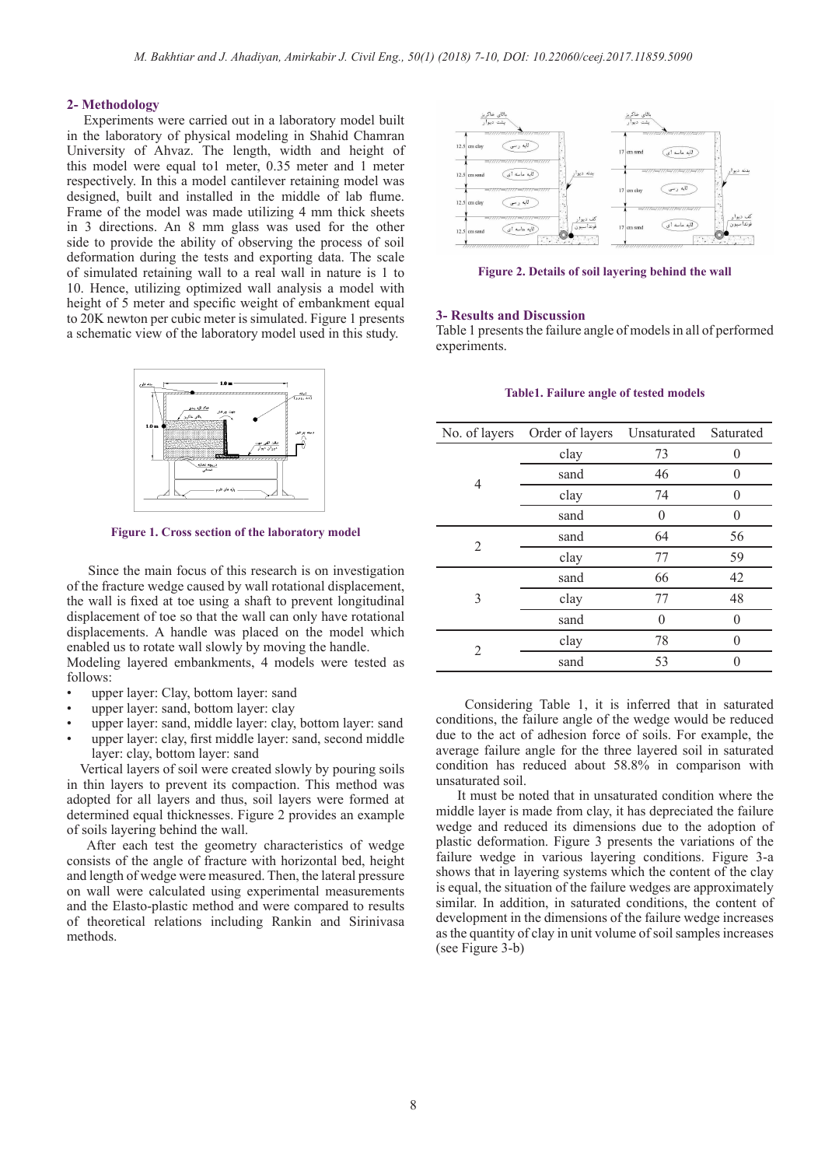#### **2- Methodology**

 Experiments were carried out in a laboratory model built in the laboratory of physical modeling in Shahid Chamran University of Ahvaz. The length, width and height of this model were equal to1 meter, 0.35 meter and 1 meter respectively. In this a model cantilever retaining model was designed, built and installed in the middle of lab flume. Frame of the model was made utilizing 4 mm thick sheets in 3 directions. An 8 mm glass was used for the other side to provide the ability of observing the process of soil deformation during the tests and exporting data. The scale of simulated retaining wall to a real wall in nature is 1 to 10. Hence, utilizing optimized wall analysis a model with height of 5 meter and specific weight of embankment equal to 20K newton per cubic meter is simulated. Figure 1 presents a schematic view of the laboratory model used in this study.



**Figure 1. Cross section of the laboratory model**

 Since the main focus of this research is on investigation of the fracture wedge caused by wall rotational displacement, the wall is fixed at toe using a shaft to prevent longitudinal displacement of toe so that the wall can only have rotational displacements. A handle was placed on the model which enabled us to rotate wall slowly by moving the handle.

Modeling layered embankments, 4 models were tested as follows:

- upper layer: Clay, bottom layer: sand
- upper layer: sand, bottom layer: clay
- upper layer: sand, middle layer: clay, bottom layer: sand
- upper layer: clay, first middle layer: sand, second middle layer: clay, bottom layer: sand

 Vertical layers of soil were created slowly by pouring soils in thin layers to prevent its compaction. This method was adopted for all layers and thus, soil layers were formed at determined equal thicknesses. Figure 2 provides an example of soils layering behind the wall.

 After each test the geometry characteristics of wedge consists of the angle of fracture with horizontal bed, height and length of wedge were measured. Then, the lateral pressure on wall were calculated using experimental measurements and the Elasto-plastic method and were compared to results of theoretical relations including Rankin and Sirinivasa methods.



**Figure 2. Details of soil layering behind the wall**

#### **3- Results and Discussion**

Table 1 presents the failure angle of models in all of performed experiments.

#### **Table1. Failure angle of tested models**

| No. of layers | Order of layers | Unsaturated<br>Saturated |          |  |
|---------------|-----------------|--------------------------|----------|--|
| 4             | clay            | 73                       | $\Omega$ |  |
|               | sand            | 46                       | $\Omega$ |  |
|               | clay            | 74                       | $\Omega$ |  |
|               | sand            | $\theta$                 | $\Omega$ |  |
| 2             | sand            | 64                       | 56       |  |
|               | clay            | 77                       | 59       |  |
| 3             | sand            | 66                       | 42       |  |
|               | clay            | 77                       | 48       |  |
|               | sand            | 0                        | $\Omega$ |  |
| 2             | clay            | 78                       | $\Omega$ |  |
|               | sand            | 53                       |          |  |

 Considering Table 1, it is inferred that in saturated conditions, the failure angle of the wedge would be reduced due to the act of adhesion force of soils. For example, the average failure angle for the three layered soil in saturated condition has reduced about 58.8% in comparison with unsaturated soil.

 It must be noted that in unsaturated condition where the middle layer is made from clay, it has depreciated the failure wedge and reduced its dimensions due to the adoption of plastic deformation. Figure 3 presents the variations of the failure wedge in various layering conditions. Figure 3-a shows that in layering systems which the content of the clay is equal, the situation of the failure wedges are approximately similar. In addition, in saturated conditions, the content of development in the dimensions of the failure wedge increases as the quantity of clay in unit volume of soil samples increases (see Figure 3-b)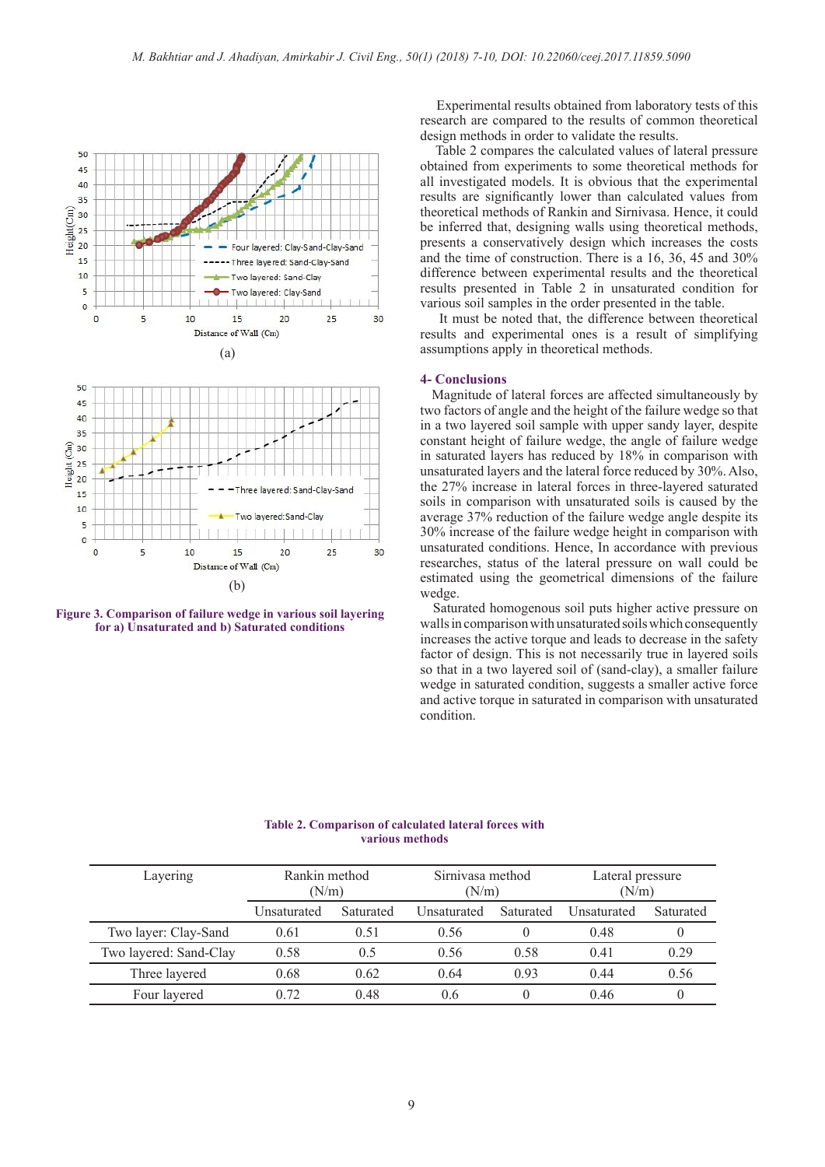

**Figure 3. Comparison of failure wedge in various soil layering for a) Unsaturated and b) Saturated conditions**

 Experimental results obtained from laboratory tests of this research are compared to the results of common theoretical design methods in order to validate the results.

 Table 2 compares the calculated values of lateral pressure obtained from experiments to some theoretical methods for all investigated models. It is obvious that the experimental results are significantly lower than calculated values from theoretical methods of Rankin and Sirnivasa. Hence, it could be inferred that, designing walls using theoretical methods, presents a conservatively design which increases the costs and the time of construction. There is a 16, 36, 45 and 30% difference between experimental results and the theoretical results presented in Table 2 in unsaturated condition for various soil samples in the order presented in the table.

 It must be noted that, the difference between theoretical results and experimental ones is a result of simplifying assumptions apply in theoretical methods.

#### **4- Conclusions**

 Magnitude of lateral forces are affected simultaneously by two factors of angle and the height of the failure wedge so that in a two layered soil sample with upper sandy layer, despite constant height of failure wedge, the angle of failure wedge in saturated layers has reduced by 18% in comparison with unsaturated layers and the lateral force reduced by 30%. Also, the 27% increase in lateral forces in three-layered saturated soils in comparison with unsaturated soils is caused by the average 37% reduction of the failure wedge angle despite its 30% increase of the failure wedge height in comparison with unsaturated conditions. Hence, In accordance with previous researches, status of the lateral pressure on wall could be estimated using the geometrical dimensions of the failure wedge.

 Saturated homogenous soil puts higher active pressure on walls in comparison with unsaturated soils which consequently increases the active torque and leads to decrease in the safety factor of design. This is not necessarily true in layered soils so that in a two layered soil of (sand-clay), a smaller failure wedge in saturated condition, suggests a smaller active force and active torque in saturated in comparison with unsaturated condition.

**Table 2. Comparison of calculated lateral forces with various methods**

| Layering               | Rankin method<br>(N/m) |           | Sirniyasa method<br>(N/m) |           | Lateral pressure<br>(N/m) |           |
|------------------------|------------------------|-----------|---------------------------|-----------|---------------------------|-----------|
|                        | Unsaturated            | Saturated | Unsaturated               | Saturated | Unsaturated               | Saturated |
| Two layer: Clay-Sand   | 0.61                   | 0.51      | 0.56                      |           | 0.48                      |           |
| Two layered: Sand-Clay | 0.58                   | 0.5       | 0.56                      | 0.58      | 0.41                      | 0.29      |
| Three layered          | 0.68                   | 0.62      | 0.64                      | 0.93      | 0.44                      | 0.56      |
| Four layered           | 0.72                   | 0.48      | 0.6                       |           | 0.46                      |           |